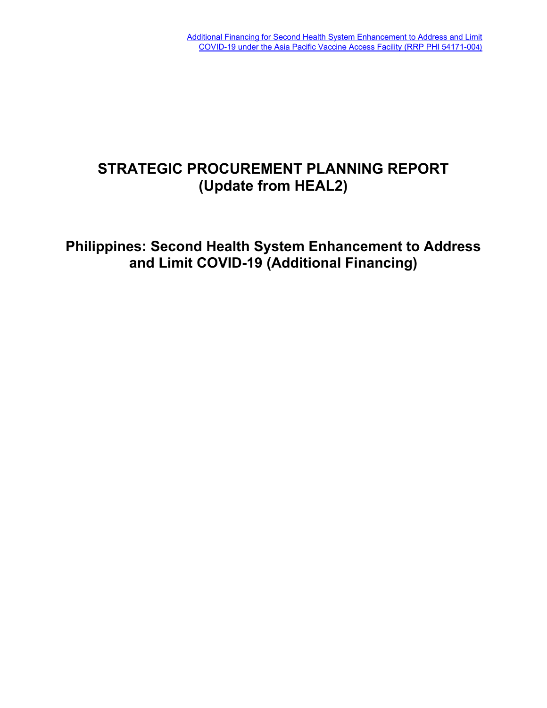# **STRATEGIC PROCUREMENT PLANNING REPORT (Update from HEAL2)**

**Philippines: Second Health System Enhancement to Address and Limit COVID-19 (Additional Financing)**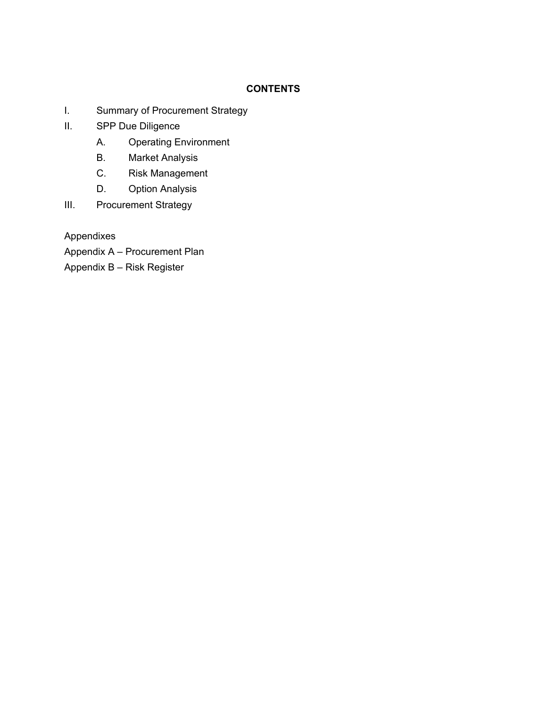# **CONTENTS**

- I. Summary of Procurement Strategy
- II. SPP Due Diligence
	- A. Operating Environment
	- B. Market Analysis
	- C. Risk Management
	- D. Option Analysis
- III. Procurement Strategy

Appendixes

- Appendix A Procurement Plan
- Appendix B Risk Register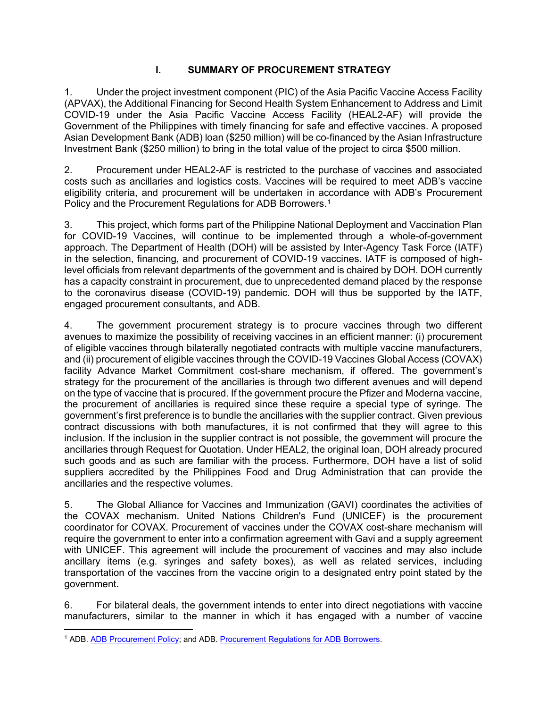# **I. SUMMARY OF PROCUREMENT STRATEGY**

1. Under the project investment component (PIC) of the Asia Pacific Vaccine Access Facility (APVAX), the Additional Financing for Second Health System Enhancement to Address and Limit COVID-19 under the Asia Pacific Vaccine Access Facility (HEAL2-AF) will provide the Government of the Philippines with timely financing for safe and effective vaccines. A proposed Asian Development Bank (ADB) loan (\$250 million) will be co-financed by the Asian Infrastructure Investment Bank (\$250 million) to bring in the total value of the project to circa \$500 million.

2. Procurement under HEAL2-AF is restricted to the purchase of vaccines and associated costs such as ancillaries and logistics costs. Vaccines will be required to meet ADB's vaccine eligibility criteria, and procurement will be undertaken in accordance with ADB's Procurement Policy and the Procurement Regulations for ADB Borrowers.<sup>[1](#page-2-0)</sup>

3. This project, which forms part of the Philippine National Deployment and Vaccination Plan for COVID-19 Vaccines, will continue to be implemented through a whole-of-government approach. The Department of Health (DOH) will be assisted by Inter-Agency Task Force (IATF) in the selection, financing, and procurement of COVID-19 vaccines. IATF is composed of highlevel officials from relevant departments of the government and is chaired by DOH. DOH currently has a capacity constraint in procurement, due to unprecedented demand placed by the response to the coronavirus disease (COVID-19) pandemic. DOH will thus be supported by the IATF, engaged procurement consultants, and ADB.

4. The government procurement strategy is to procure vaccines through two different avenues to maximize the possibility of receiving vaccines in an efficient manner: (i) procurement of eligible vaccines through bilaterally negotiated contracts with multiple vaccine manufacturers, and (ii) procurement of eligible vaccines through the COVID-19 Vaccines Global Access (COVAX) facility Advance Market Commitment cost-share mechanism, if offered. The government's strategy for the procurement of the ancillaries is through two different avenues and will depend on the type of vaccine that is procured. If the government procure the Pfizer and Moderna vaccine, the procurement of ancillaries is required since these require a special type of syringe. The government's first preference is to bundle the ancillaries with the supplier contract. Given previous contract discussions with both manufactures, it is not confirmed that they will agree to this inclusion. If the inclusion in the supplier contract is not possible, the government will procure the ancillaries through Request for Quotation. Under HEAL2, the original loan, DOH already procured such goods and as such are familiar with the process. Furthermore, DOH have a list of solid suppliers accredited by the Philippines Food and Drug Administration that can provide the ancillaries and the respective volumes.

5. The Global Alliance for Vaccines and Immunization (GAVI) coordinates the activities of the COVAX mechanism. United Nations Children's Fund (UNICEF) is the procurement coordinator for COVAX. Procurement of vaccines under the COVAX cost-share mechanism will require the government to enter into a confirmation agreement with Gavi and a supply agreement with UNICEF. This agreement will include the procurement of vaccines and may also include ancillary items (e.g. syringes and safety boxes), as well as related services, including transportation of the vaccines from the vaccine origin to a designated entry point stated by the government.

6. For bilateral deals, the government intends to enter into direct negotiations with vaccine manufacturers, similar to the manner in which it has engaged with a number of vaccine

<span id="page-2-0"></span><sup>1</sup> ADB. [ADB Procurement Policy;](https://www.adb.org/sites/default/files/adb-procurement-policy.pdf) and ADB. [Procurement Regulations for ADB Borrowers.](https://www.adb.org/sites/default/files/procurement-regulations-adb-borrowers.pdf)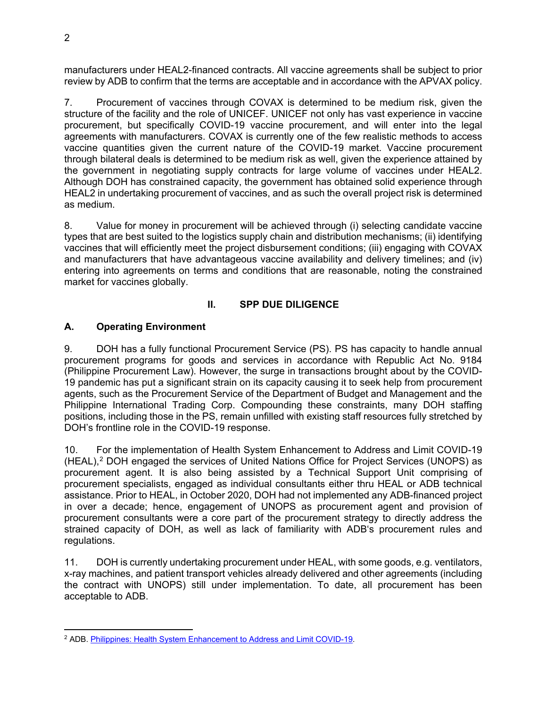manufacturers under HEAL2-financed contracts. All vaccine agreements shall be subject to prior review by ADB to confirm that the terms are acceptable and in accordance with the APVAX policy.

7. Procurement of vaccines through COVAX is determined to be medium risk, given the structure of the facility and the role of UNICEF. UNICEF not only has vast experience in vaccine procurement, but specifically COVID-19 vaccine procurement, and will enter into the legal agreements with manufacturers. COVAX is currently one of the few realistic methods to access vaccine quantities given the current nature of the COVID-19 market. Vaccine procurement through bilateral deals is determined to be medium risk as well, given the experience attained by the government in negotiating supply contracts for large volume of vaccines under HEAL2. Although DOH has constrained capacity, the government has obtained solid experience through HEAL2 in undertaking procurement of vaccines, and as such the overall project risk is determined as medium.

8. Value for money in procurement will be achieved through (i) selecting candidate vaccine types that are best suited to the logistics supply chain and distribution mechanisms; (ii) identifying vaccines that will efficiently meet the project disbursement conditions; (iii) engaging with COVAX and manufacturers that have advantageous vaccine availability and delivery timelines; and (iv) entering into agreements on terms and conditions that are reasonable, noting the constrained market for vaccines globally.

### **II. SPP DUE DILIGENCE**

### **A. Operating Environment**

9. DOH has a fully functional Procurement Service (PS). PS has capacity to handle annual procurement programs for goods and services in accordance with Republic Act No. 9184 (Philippine Procurement Law). However, the surge in transactions brought about by the COVID-19 pandemic has put a significant strain on its capacity causing it to seek help from procurement agents, such as the Procurement Service of the Department of Budget and Management and the Philippine International Trading Corp. Compounding these constraints, many DOH staffing positions, including those in the PS, remain unfilled with existing staff resources fully stretched by DOH's frontline role in the COVID-19 response.

10. For the implementation of Health System Enhancement to Address and Limit COVID-19 (HEAL),[2](#page-3-0) DOH engaged the services of United Nations Office for Project Services (UNOPS) as procurement agent. It is also being assisted by a Technical Support Unit comprising of procurement specialists, engaged as individual consultants either thru HEAL or ADB technical assistance. Prior to HEAL, in October 2020, DOH had not implemented any ADB-financed project in over a decade; hence, engagement of UNOPS as procurement agent and provision of procurement consultants were a core part of the procurement strategy to directly address the strained capacity of DOH, as well as lack of familiarity with ADB's procurement rules and regulations.

11. DOH is currently undertaking procurement under HEAL, with some goods, e.g. ventilators, x-ray machines, and patient transport vehicles already delivered and other agreements (including the contract with UNOPS) still under implementation. To date, all procurement has been acceptable to ADB.

<span id="page-3-0"></span><sup>2</sup> ADB. [Philippines: Health System Enhancement to Address and Limit COVID-19.](https://www.adb.org/projects/54171-002/main)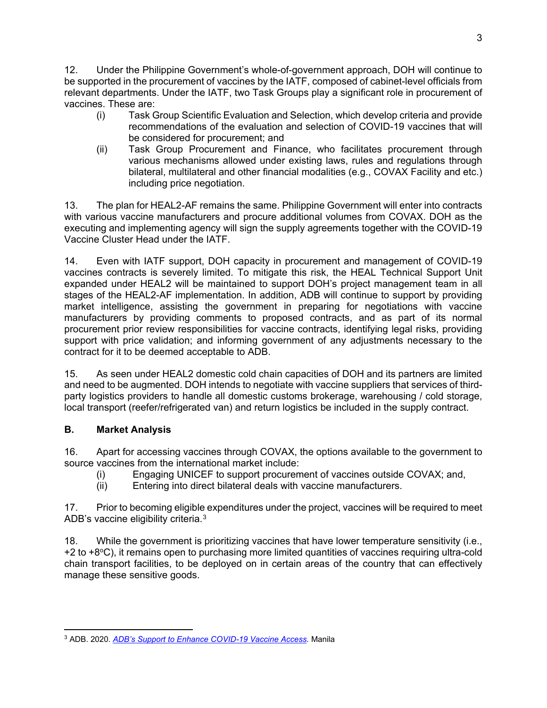12. Under the Philippine Government's whole-of-government approach, DOH will continue to be supported in the procurement of vaccines by the IATF, composed of cabinet-level officials from relevant departments. Under the IATF, two Task Groups play a significant role in procurement of vaccines. These are:

- (i) Task Group Scientific Evaluation and Selection, which develop criteria and provide recommendations of the evaluation and selection of COVID-19 vaccines that will be considered for procurement; and
- (ii) Task Group Procurement and Finance, who facilitates procurement through various mechanisms allowed under existing laws, rules and regulations through bilateral, multilateral and other financial modalities (e.g., COVAX Facility and etc.) including price negotiation.

13. The plan for HEAL2-AF remains the same. Philippine Government will enter into contracts with various vaccine manufacturers and procure additional volumes from COVAX. DOH as the executing and implementing agency will sign the supply agreements together with the COVID-19 Vaccine Cluster Head under the IATF.

14. Even with IATF support, DOH capacity in procurement and management of COVID-19 vaccines contracts is severely limited. To mitigate this risk, the HEAL Technical Support Unit expanded under HEAL2 will be maintained to support DOH's project management team in all stages of the HEAL2-AF implementation. In addition, ADB will continue to support by providing market intelligence, assisting the government in preparing for negotiations with vaccine manufacturers by providing comments to proposed contracts, and as part of its normal procurement prior review responsibilities for vaccine contracts, identifying legal risks, providing support with price validation; and informing government of any adjustments necessary to the contract for it to be deemed acceptable to ADB.

15. As seen under HEAL2 domestic cold chain capacities of DOH and its partners are limited and need to be augmented. DOH intends to negotiate with vaccine suppliers that services of thirdparty logistics providers to handle all domestic customs brokerage, warehousing / cold storage, local transport (reefer/refrigerated van) and return logistics be included in the supply contract.

# **B. Market Analysis**

16. Apart for accessing vaccines through COVAX, the options available to the government to source vaccines from the international market include:

- (i) Engaging UNICEF to support procurement of vaccines outside COVAX; and,<br>(ii) Entering into direct bilateral deals with vaccine manufacturers.
- Entering into direct bilateral deals with vaccine manufacturers.

17. Prior to becoming eligible expenditures under the project, vaccines will be required to meet ADB's vaccine eligibility criteria.[3](#page-4-0)

18. While the government is prioritizing vaccines that have lower temperature sensitivity (i.e., +2 to +8<sup>o</sup>C), it remains open to purchasing more limited quantities of vaccines requiring ultra-cold chain transport facilities, to be deployed on in certain areas of the country that can effectively manage these sensitive goods.

<span id="page-4-0"></span><sup>3</sup> ADB. 2020. *[ADB's Support to Enhance COVID-19 Vaccine Access.](https://www.adb.org/sites/default/files/institutional-document/662801/adb-support-covid-19-vaccine-access.pdf)* Manila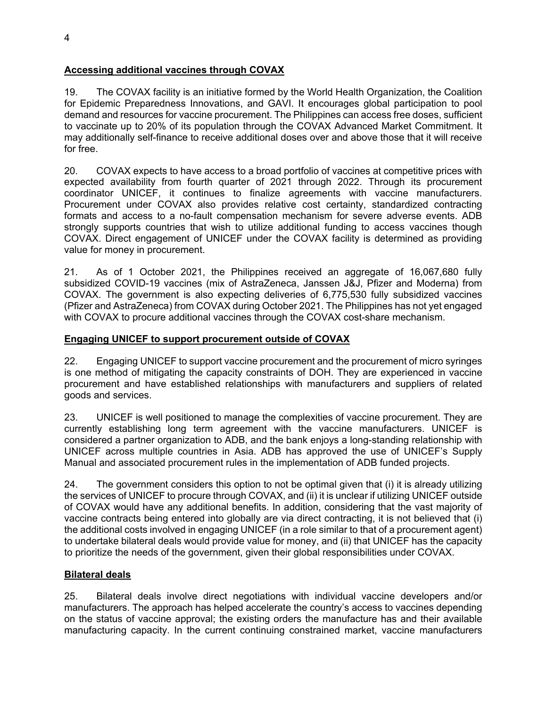# **Accessing additional vaccines through COVAX**

19. The COVAX facility is an initiative formed by the World Health Organization, the Coalition for Epidemic Preparedness Innovations, and GAVI. It encourages global participation to pool demand and resources for vaccine procurement. The Philippines can access free doses, sufficient to vaccinate up to 20% of its population through the COVAX Advanced Market Commitment. It may additionally self-finance to receive additional doses over and above those that it will receive for free.

20. COVAX expects to have access to a broad portfolio of vaccines at competitive prices with expected availability from fourth quarter of 2021 through 2022. Through its procurement coordinator UNICEF, it continues to finalize agreements with vaccine manufacturers. Procurement under COVAX also provides relative cost certainty, standardized contracting formats and access to a no-fault compensation mechanism for severe adverse events. ADB strongly supports countries that wish to utilize additional funding to access vaccines though COVAX. Direct engagement of UNICEF under the COVAX facility is determined as providing value for money in procurement.

21. As of 1 October 2021, the Philippines received an aggregate of 16,067,680 fully subsidized COVID-19 vaccines (mix of AstraZeneca, Janssen J&J, Pfizer and Moderna) from COVAX. The government is also expecting deliveries of 6,775,530 fully subsidized vaccines (Pfizer and AstraZeneca) from COVAX during October 2021. The Philippines has not yet engaged with COVAX to procure additional vaccines through the COVAX cost-share mechanism.

### **Engaging UNICEF to support procurement outside of COVAX**

22. Engaging UNICEF to support vaccine procurement and the procurement of micro syringes is one method of mitigating the capacity constraints of DOH. They are experienced in vaccine procurement and have established relationships with manufacturers and suppliers of related goods and services.

23. UNICEF is well positioned to manage the complexities of vaccine procurement. They are currently establishing long term agreement with the vaccine manufacturers. UNICEF is considered a partner organization to ADB, and the bank enjoys a long-standing relationship with UNICEF across multiple countries in Asia. ADB has approved the use of UNICEF's Supply Manual and associated procurement rules in the implementation of ADB funded projects.

24. The government considers this option to not be optimal given that (i) it is already utilizing the services of UNICEF to procure through COVAX, and (ii) it is unclear if utilizing UNICEF outside of COVAX would have any additional benefits. In addition, considering that the vast majority of vaccine contracts being entered into globally are via direct contracting, it is not believed that (i) the additional costs involved in engaging UNICEF (in a role similar to that of a procurement agent) to undertake bilateral deals would provide value for money, and (ii) that UNICEF has the capacity to prioritize the needs of the government, given their global responsibilities under COVAX.

### **Bilateral deals**

25. Bilateral deals involve direct negotiations with individual vaccine developers and/or manufacturers. The approach has helped accelerate the country's access to vaccines depending on the status of vaccine approval; the existing orders the manufacture has and their available manufacturing capacity. In the current continuing constrained market, vaccine manufacturers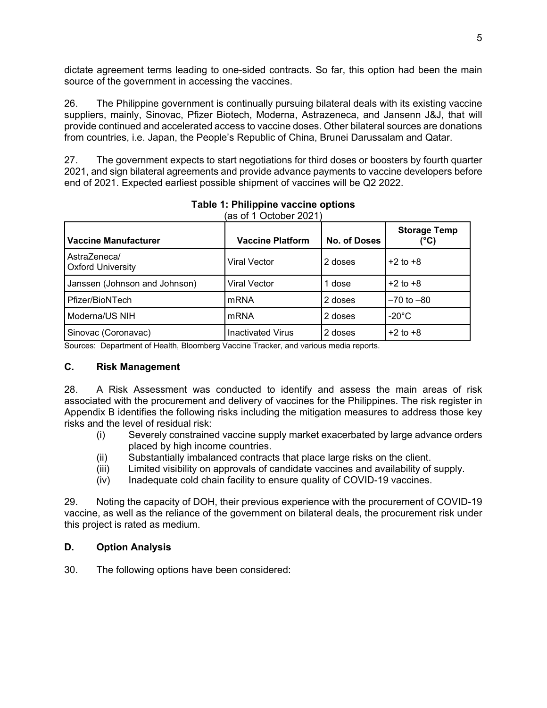dictate agreement terms leading to one-sided contracts. So far, this option had been the main source of the government in accessing the vaccines.

26. The Philippine government is continually pursuing bilateral deals with its existing vaccine suppliers, mainly, Sinovac, Pfizer Biotech, Moderna, Astrazeneca, and Jansenn J&J, that will provide continued and accelerated access to vaccine doses. Other bilateral sources are donations from countries, i.e. Japan, the People's Republic of China, Brunei Darussalam and Qatar.

27. The government expects to start negotiations for third doses or boosters by fourth quarter 2021, and sign bilateral agreements and provide advance payments to vaccine developers before end of 2021. Expected earliest possible shipment of vaccines will be Q2 2022.

| <b>Vaccine Manufacturer</b>              | <b>Vaccine Platform</b>  | <b>No. of Doses</b> | <b>Storage Temp</b><br>(°C) |
|------------------------------------------|--------------------------|---------------------|-----------------------------|
| AstraZeneca/<br><b>Oxford University</b> | Viral Vector             | 2 doses             | $+2$ to $+8$                |
| Janssen (Johnson and Johnson)            | Viral Vector             | 1 dose              | $+2$ to $+8$                |
| Pfizer/BioNTech                          | <b>mRNA</b>              | 2 doses             | $-70$ to $-80$              |
| Moderna/US NIH                           | <b>mRNA</b>              | 2 doses             | $-20^{\circ}$ C             |
| Sinovac (Coronavac)                      | <b>Inactivated Virus</b> | 2 doses             | $+2$ to $+8$                |

#### **Table 1: Philippine vaccine options**  $(a)$ s of 1 October 2021)

Sources: Department of Health, Bloomberg Vaccine Tracker, and various media reports.

### **C. Risk Management**

28. A Risk Assessment was conducted to identify and assess the main areas of risk associated with the procurement and delivery of vaccines for the Philippines. The risk register in Appendix B identifies the following risks including the mitigation measures to address those key risks and the level of residual risk:

- (i) Severely constrained vaccine supply market exacerbated by large advance orders placed by high income countries.
- (ii) Substantially imbalanced contracts that place large risks on the client.
- (iii) Limited visibility on approvals of candidate vaccines and availability of supply.
- (iv) Inadequate cold chain facility to ensure quality of COVID-19 vaccines.

29. Noting the capacity of DOH, their previous experience with the procurement of COVID-19 vaccine, as well as the reliance of the government on bilateral deals, the procurement risk under this project is rated as medium.

### **D. Option Analysis**

30. The following options have been considered: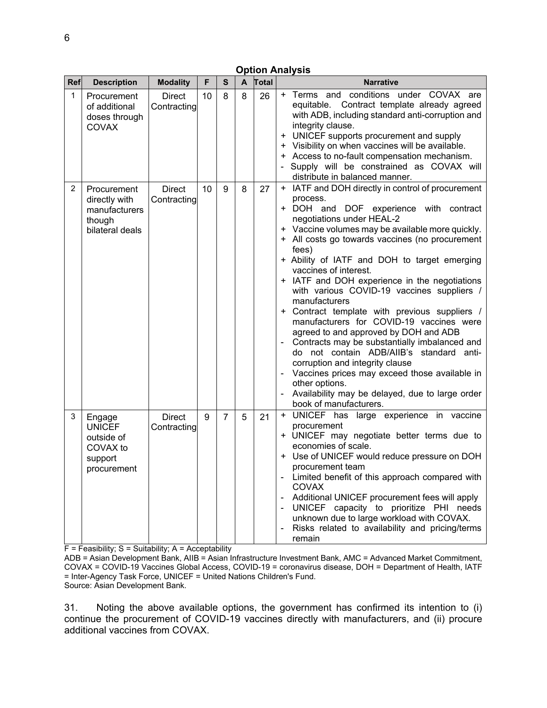|                | <b>Option Analysis</b>                                                      |                              |    |                |              |       |                                                                                                                                                                                                                                                                                                                                                                                                                                                                                                                                                                                                                                                                                                                                                                                                                                                                     |  |  |  |  |  |
|----------------|-----------------------------------------------------------------------------|------------------------------|----|----------------|--------------|-------|---------------------------------------------------------------------------------------------------------------------------------------------------------------------------------------------------------------------------------------------------------------------------------------------------------------------------------------------------------------------------------------------------------------------------------------------------------------------------------------------------------------------------------------------------------------------------------------------------------------------------------------------------------------------------------------------------------------------------------------------------------------------------------------------------------------------------------------------------------------------|--|--|--|--|--|
| Ref            | <b>Description</b>                                                          | <b>Modality</b>              | F  | $\mathbf{s}$   | $\mathsf{A}$ | Total | <b>Narrative</b>                                                                                                                                                                                                                                                                                                                                                                                                                                                                                                                                                                                                                                                                                                                                                                                                                                                    |  |  |  |  |  |
| 1              | Procurement<br>of additional<br>doses through<br><b>COVAX</b>               | <b>Direct</b><br>Contracting | 10 | 8              | 8            | 26    | + Terms and conditions under COVAX are<br>equitable. Contract template already agreed<br>with ADB, including standard anti-corruption and<br>integrity clause.<br>UNICEF supports procurement and supply<br>$\pm$<br>+ Visibility on when vaccines will be available.<br>+ Access to no-fault compensation mechanism.<br>Supply will be constrained as COVAX will<br>distribute in balanced manner.                                                                                                                                                                                                                                                                                                                                                                                                                                                                 |  |  |  |  |  |
| $\overline{2}$ | Procurement<br>directly with<br>manufacturers<br>though<br>bilateral deals  | <b>Direct</b><br>Contracting | 10 | 9              | 8            | 27    | + IATF and DOH directly in control of procurement<br>process.<br>+ DOH and DOF experience with contract<br>negotiations under HEAL-2<br>+ Vaccine volumes may be available more quickly.<br>+ All costs go towards vaccines (no procurement<br>fees)<br>+ Ability of IATF and DOH to target emerging<br>vaccines of interest.<br>+ IATF and DOH experience in the negotiations<br>with various COVID-19 vaccines suppliers /<br>manufacturers<br>+ Contract template with previous suppliers /<br>manufacturers for COVID-19 vaccines were<br>agreed to and approved by DOH and ADB<br>Contracts may be substantially imbalanced and<br>do not contain ADB/AIIB's standard anti-<br>corruption and integrity clause<br>Vaccines prices may exceed those available in<br>other options.<br>Availability may be delayed, due to large order<br>book of manufacturers. |  |  |  |  |  |
| 3              | Engage<br><b>UNICEF</b><br>outside of<br>COVAX to<br>support<br>procurement | <b>Direct</b><br>Contracting | 9  | $\overline{7}$ | 5            | 21    | + UNICEF has large experience in vaccine<br>procurement<br>+ UNICEF may negotiate better terms due to<br>economies of scale.<br>+ Use of UNICEF would reduce pressure on DOH<br>procurement team<br>Limited benefit of this approach compared with<br><b>COVAX</b><br>Additional UNICEF procurement fees will apply<br>UNICEF capacity to prioritize PHI needs<br>unknown due to large workload with COVAX.<br>Risks related to availability and pricing/terms<br>remain                                                                                                                                                                                                                                                                                                                                                                                            |  |  |  |  |  |
|                | $F = Feasibility$ ; S = Suitability; A = Acceptability                      |                              |    |                |              |       |                                                                                                                                                                                                                                                                                                                                                                                                                                                                                                                                                                                                                                                                                                                                                                                                                                                                     |  |  |  |  |  |

F = Feasibility; S = Suitability; A = Acceptability

ADB = Asian Development Bank, AIIB = Asian Infrastructure Investment Bank, AMC = Advanced Market Commitment, COVAX = COVID-19 Vaccines Global Access, COVID-19 = coronavirus disease, DOH = Department of Health, IATF = Inter-Agency Task Force, UNICEF = United Nations Children's Fund. Source: Asian Development Bank.

31. Noting the above available options, the government has confirmed its intention to (i) continue the procurement of COVID-19 vaccines directly with manufacturers, and (ii) procure additional vaccines from COVAX.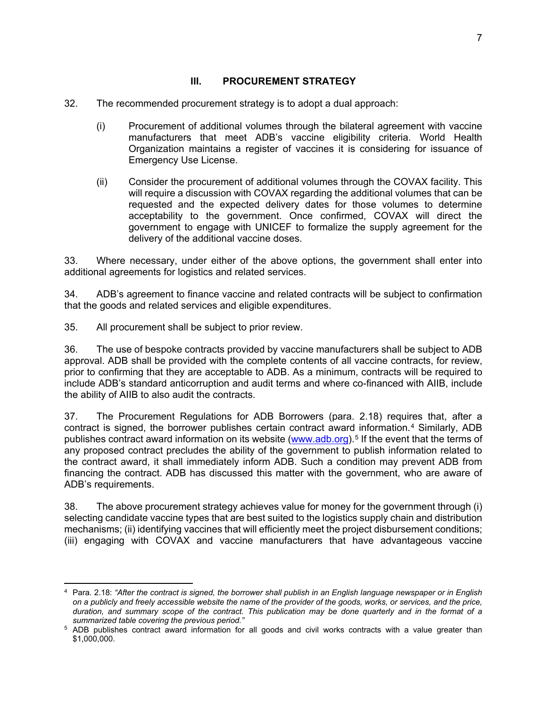### **III. PROCUREMENT STRATEGY**

- 32. The recommended procurement strategy is to adopt a dual approach:
	- (i) Procurement of additional volumes through the bilateral agreement with vaccine manufacturers that meet ADB's vaccine eligibility criteria. World Health Organization maintains a register of vaccines it is considering for issuance of Emergency Use License.
	- (ii) Consider the procurement of additional volumes through the COVAX facility. This will require a discussion with COVAX regarding the additional volumes that can be requested and the expected delivery dates for those volumes to determine acceptability to the government. Once confirmed, COVAX will direct the government to engage with UNICEF to formalize the supply agreement for the delivery of the additional vaccine doses.

33. Where necessary, under either of the above options, the government shall enter into additional agreements for logistics and related services.

34. ADB's agreement to finance vaccine and related contracts will be subject to confirmation that the goods and related services and eligible expenditures.

35. All procurement shall be subject to prior review.

36. The use of bespoke contracts provided by vaccine manufacturers shall be subject to ADB approval. ADB shall be provided with the complete contents of all vaccine contracts, for review, prior to confirming that they are acceptable to ADB. As a minimum, contracts will be required to include ADB's standard anticorruption and audit terms and where co-financed with AIIB, include the ability of AIIB to also audit the contracts.

37. The Procurement Regulations for ADB Borrowers (para. 2.18) requires that, after a contract is signed, the borrower publishes certain contract award information.[4](#page-8-0) Similarly, ADB publishes contract award information on its website [\(www.adb.org\)](http://www.adb.org/).<sup>[5](#page-8-1)</sup> If the event that the terms of any proposed contract precludes the ability of the government to publish information related to the contract award, it shall immediately inform ADB. Such a condition may prevent ADB from financing the contract. ADB has discussed this matter with the government, who are aware of ADB's requirements.

38. The above procurement strategy achieves value for money for the government through (i) selecting candidate vaccine types that are best suited to the logistics supply chain and distribution mechanisms; (ii) identifying vaccines that will efficiently meet the project disbursement conditions; (iii) engaging with COVAX and vaccine manufacturers that have advantageous vaccine

<span id="page-8-0"></span><sup>4</sup> Para. 2.18: *"After the contract is signed, the borrower shall publish in an English language newspaper or in English on a publicly and freely accessible website the name of the provider of the goods, works, or services, and the price, duration, and summary scope of the contract. This publication may be done quarterly and in the format of a summarized table covering the previous period."*

<span id="page-8-1"></span><sup>5</sup> ADB publishes contract award information for all goods and civil works contracts with a value greater than \$1,000,000.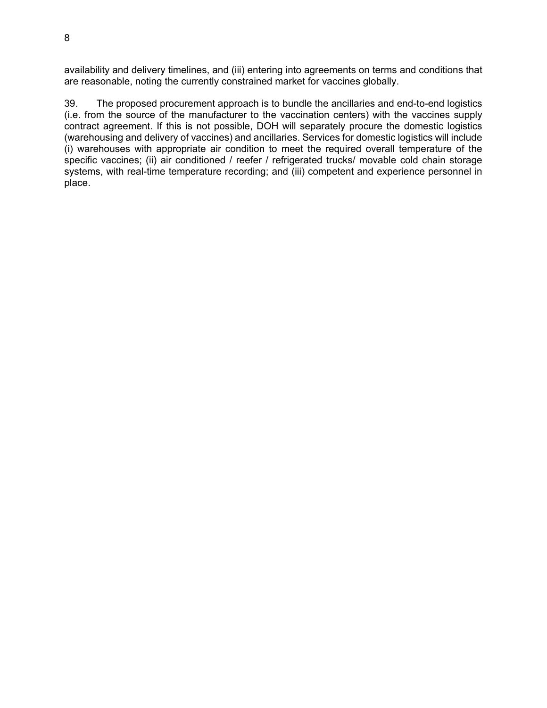availability and delivery timelines, and (iii) entering into agreements on terms and conditions that are reasonable, noting the currently constrained market for vaccines globally.

39. The proposed procurement approach is to bundle the ancillaries and end-to-end logistics (i.e. from the source of the manufacturer to the vaccination centers) with the vaccines supply contract agreement. If this is not possible, DOH will separately procure the domestic logistics (warehousing and delivery of vaccines) and ancillaries. Services for domestic logistics will include (i) warehouses with appropriate air condition to meet the required overall temperature of the specific vaccines; (ii) air conditioned / reefer / refrigerated trucks/ movable cold chain storage systems, with real-time temperature recording; and (iii) competent and experience personnel in place.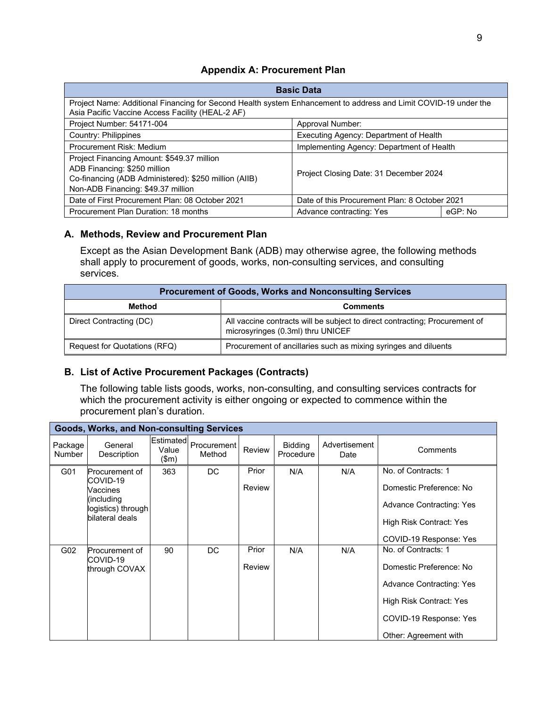### **Appendix A: Procurement Plan**

| <b>Basic Data</b>                                                                                                                                                         |                                               |         |  |  |  |  |
|---------------------------------------------------------------------------------------------------------------------------------------------------------------------------|-----------------------------------------------|---------|--|--|--|--|
| Project Name: Additional Financing for Second Health system Enhancement to address and Limit COVID-19 under the<br>Asia Pacific Vaccine Access Facility (HEAL-2 AF)       |                                               |         |  |  |  |  |
| Project Number: 54171-004<br>Approval Number:                                                                                                                             |                                               |         |  |  |  |  |
| Country: Philippines                                                                                                                                                      | Executing Agency: Department of Health        |         |  |  |  |  |
| Procurement Risk: Medium                                                                                                                                                  | Implementing Agency: Department of Health     |         |  |  |  |  |
| Project Financing Amount: \$549.37 million<br>ADB Financing: \$250 million<br>Co-financing (ADB Administered): \$250 million (AIIB)<br>Non-ADB Financing: \$49.37 million | Project Closing Date: 31 December 2024        |         |  |  |  |  |
| Date of First Procurement Plan: 08 October 2021                                                                                                                           | Date of this Procurement Plan: 8 October 2021 |         |  |  |  |  |
| Procurement Plan Duration: 18 months                                                                                                                                      | Advance contracting: Yes                      | eGP: No |  |  |  |  |

### **A. Methods, Review and Procurement Plan**

Except as the Asian Development Bank (ADB) may otherwise agree, the following methods shall apply to procurement of goods, works, non-consulting services, and consulting services.

| <b>Procurement of Goods, Works and Nonconsulting Services</b> |                                                                                                                  |  |  |  |  |  |  |
|---------------------------------------------------------------|------------------------------------------------------------------------------------------------------------------|--|--|--|--|--|--|
| Method<br><b>Comments</b>                                     |                                                                                                                  |  |  |  |  |  |  |
| Direct Contracting (DC)                                       | All vaccine contracts will be subject to direct contracting; Procurement of<br>microsyringes (0.3ml) thru UNICEF |  |  |  |  |  |  |
| Request for Quotations (RFQ)                                  | Procurement of ancillaries such as mixing syringes and diluents                                                  |  |  |  |  |  |  |

# **B. List of Active Procurement Packages (Contracts)**

The following table lists goods, works, non-consulting, and consulting services contracts for which the procurement activity is either ongoing or expected to commence within the procurement plan's duration.

|                          | Goods, Works, and Non-consulting Services                                                     |                             |                       |                 |                             |                       |                                                                                                                                                                 |  |  |  |
|--------------------------|-----------------------------------------------------------------------------------------------|-----------------------------|-----------------------|-----------------|-----------------------------|-----------------------|-----------------------------------------------------------------------------------------------------------------------------------------------------------------|--|--|--|
| Package<br><b>Number</b> | General<br>Description                                                                        | Estimated<br>Value<br>\$m\$ | Procurement<br>Method | Review          | <b>Bidding</b><br>Procedure | Advertisement<br>Date | Comments                                                                                                                                                        |  |  |  |
| G01                      | Procurement of<br>COVID-19<br>Vaccines<br>(including<br>logistics) through<br>bilateral deals | 363                         | DC.                   | Prior<br>Review | N/A                         | N/A                   | No. of Contracts: 1<br>Domestic Preference: No<br><b>Advance Contracting: Yes</b><br>High Risk Contract: Yes<br>COVID-19 Response: Yes                          |  |  |  |
| G02                      | Procurement of<br>COVID-19<br>through COVAX                                                   | 90                          | DC                    | Prior<br>Review | N/A                         | N/A                   | No. of Contracts: 1<br>Domestic Preference: No<br><b>Advance Contracting: Yes</b><br>High Risk Contract: Yes<br>COVID-19 Response: Yes<br>Other: Agreement with |  |  |  |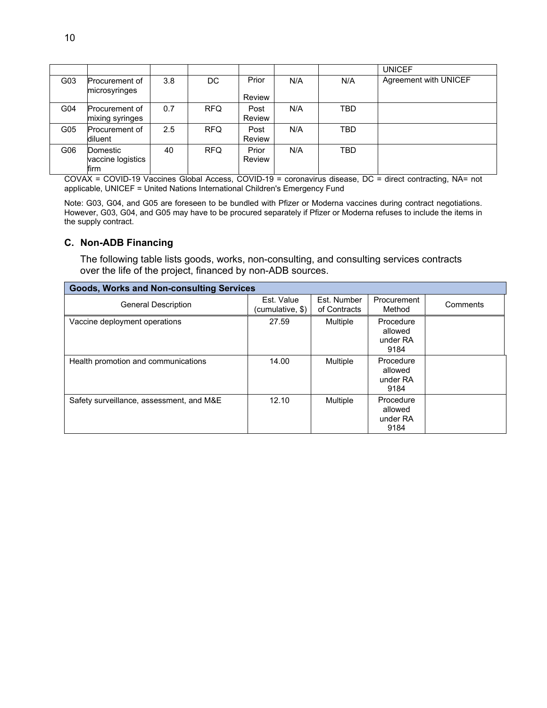|     |                                          |     |            |                        |     |            | <b>UNICEF</b>         |
|-----|------------------------------------------|-----|------------|------------------------|-----|------------|-----------------------|
| G03 | <b>Procurement of</b><br>microsyringes   | 3.8 | DC         | Prior<br>Review        | N/A | N/A        | Agreement with UNICEF |
| G04 | <b>Procurement of</b><br>mixing syringes | 0.7 | RFQ        | Post<br><b>Review</b>  | N/A | TBD        |                       |
| G05 | Procurement of<br>diluent                | 2.5 | <b>RFQ</b> | Post<br><b>Review</b>  | N/A | <b>TBD</b> |                       |
| G06 | Domestic<br>vaccine logistics<br>firm    | 40  | <b>RFQ</b> | Prior<br><b>Review</b> | N/A | <b>TBD</b> |                       |

COVAX = COVID-19 Vaccines Global Access, COVID-19 = coronavirus disease, DC = direct contracting, NA= not applicable, UNICEF = United Nations International Children's Emergency Fund

Note: G03, G04, and G05 are foreseen to be bundled with Pfizer or Moderna vaccines during contract negotiations. However, G03, G04, and G05 may have to be procured separately if Pfizer or Moderna refuses to include the items in the supply contract.

# **C. Non-ADB Financing**

The following table lists goods, works, non-consulting, and consulting services contracts over the life of the project, financed by non-ADB sources.

| <b>Goods, Works and Non-consulting Services</b> |                                |                             |                                          |          |
|-------------------------------------------------|--------------------------------|-----------------------------|------------------------------------------|----------|
| <b>General Description</b>                      | Est. Value<br>(cumulative, \$) | Est. Number<br>of Contracts | Procurement<br>Method                    | Comments |
| Vaccine deployment operations                   | 27.59                          | <b>Multiple</b>             | Procedure<br>allowed<br>under RA<br>9184 |          |
| Health promotion and communications             | 14.00                          | Multiple                    | Procedure<br>allowed<br>under RA<br>9184 |          |
| Safety surveillance, assessment, and M&E        | 12.10                          | Multiple                    | Procedure<br>allowed<br>under RA<br>9184 |          |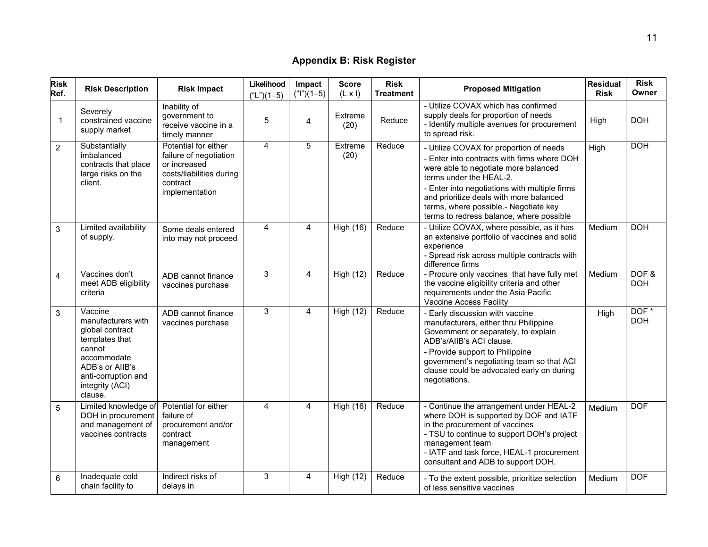# **Appendix B: Risk Register**

| <b>Risk</b><br>Ref. | <b>Risk Description</b>                                                                                                                                             | <b>Risk Impact</b>                                                                                                       | Likelihood<br>$(*L")$ (1-5) | Impact<br>$("I")$ (1-5) | <b>Score</b><br>$(L \times I)$ | <b>Risk</b><br><b>Treatment</b> | <b>Proposed Mitigation</b>                                                                                                                                                                                                                                                                                                                 | <b>Residual</b><br><b>Risk</b> | <b>Risk</b><br>Owner |
|---------------------|---------------------------------------------------------------------------------------------------------------------------------------------------------------------|--------------------------------------------------------------------------------------------------------------------------|-----------------------------|-------------------------|--------------------------------|---------------------------------|--------------------------------------------------------------------------------------------------------------------------------------------------------------------------------------------------------------------------------------------------------------------------------------------------------------------------------------------|--------------------------------|----------------------|
| $\mathbf{1}$        | Severely<br>constrained vaccine<br>supply market                                                                                                                    | Inability of<br>government to<br>receive vaccine in a<br>timely manner                                                   | 5                           | $\overline{4}$          | Extreme<br>(20)                | Reduce                          | - Utilize COVAX which has confirmed<br>supply deals for proportion of needs<br>- Identify multiple avenues for procurement<br>to spread risk.                                                                                                                                                                                              | High                           | <b>DOH</b>           |
| $\overline{2}$      | Substantially<br>imbalanced<br>contracts that place<br>large risks on the<br>client.                                                                                | Potential for either<br>failure of negotiation<br>or increased<br>costs/liabilities during<br>contract<br>implementation | 4                           | 5                       | Extreme<br>(20)                | Reduce                          | - Utilize COVAX for proportion of needs<br>- Enter into contracts with firms where DOH<br>were able to negotiate more balanced<br>terms under the HEAL-2.<br>- Enter into negotiations with multiple firms<br>and prioritize deals with more balanced<br>terms, where possible.- Negotiate key<br>terms to redress balance, where possible | High                           | <b>DOH</b>           |
| 3                   | Limited availability<br>of supply.                                                                                                                                  | Some deals entered<br>into may not proceed                                                                               | 4                           | 4                       | <b>High (16)</b>               | Reduce                          | - Utilize COVAX, where possible, as it has<br>an extensive portfolio of vaccines and solid<br>experience<br>- Spread risk across multiple contracts with<br>difference firms                                                                                                                                                               | Medium                         | <b>DOH</b>           |
| 4                   | Vaccines don't<br>meet ADB eligibility<br>criteria                                                                                                                  | ADB cannot finance<br>vaccines purchase                                                                                  | $\overline{3}$              | $\overline{4}$          | <b>High (12)</b>               | Reduce                          | - Procure only vaccines that have fully met<br>the vaccine eligibility criteria and other<br>requirements under the Asia Pacific<br>Vaccine Access Facility                                                                                                                                                                                | Medium                         | DOF&<br><b>DOH</b>   |
| 3                   | Vaccine<br>manufacturers with<br>global contract<br>templates that<br>cannot<br>accommodate<br>ADB's or AIIB's<br>anti-corruption and<br>integrity (ACI)<br>clause. | ADB cannot finance<br>vaccines purchase                                                                                  | $\overline{3}$              | 4                       | <b>High (12)</b>               | Reduce                          | - Early discussion with vaccine<br>manufacturers, either thru Philippine<br>Government or separately, to explain<br>ADB's/AllB's ACI clause.<br>- Provide support to Philippine<br>government's negotiating team so that ACI<br>clause could be advocated early on during<br>negotiations.                                                 | High                           | DOF*<br><b>DOH</b>   |
| 5                   | Limited knowledge of<br>DOH in procurement<br>and management of<br>vaccines contracts                                                                               | Potential for either<br>failure of<br>procurement and/or<br>contract<br>management                                       | 4                           | 4                       | <b>High (16)</b>               | Reduce                          | - Continue the arrangement under HEAL-2<br>where DOH is supported by DOF and IATF<br>in the procurement of vaccines<br>- TSU to continue to support DOH's project<br>management team<br>- IATF and task force, HEAL-1 procurement<br>consultant and ADB to support DOH.                                                                    | Medium                         | <b>DOF</b>           |
| 6                   | Inadequate cold<br>chain facility to                                                                                                                                | Indirect risks of<br>delays in                                                                                           | 3                           | 4                       | High (12)                      | Reduce                          | - To the extent possible, prioritize selection<br>of less sensitive vaccines                                                                                                                                                                                                                                                               | Medium                         | <b>DOF</b>           |